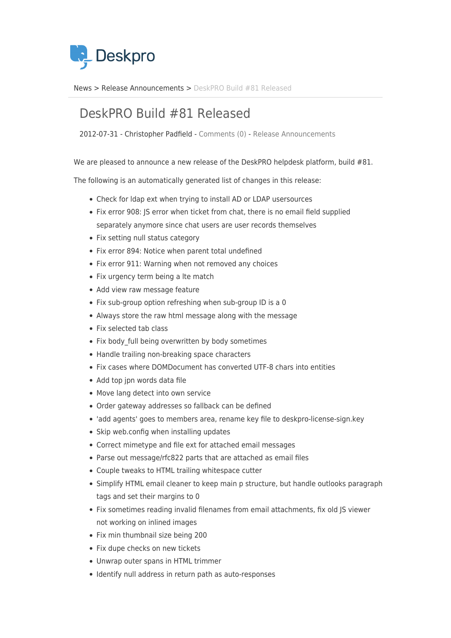

[News](https://support.deskpro.com/sv/news) > [Release Announcements](https://support.deskpro.com/sv/news/release-announcements) > [DeskPRO Build #81 Released](https://support.deskpro.com/sv/news/posts/deskpro-build-81-released)

## DeskPRO Build #81 Released

2012-07-31 - Christopher Padfield - [Comments \(0\)](#page--1-0) - [Release Announcements](https://support.deskpro.com/sv/news/release-announcements)

We are pleased to announce a new release of the DeskPRO helpdesk platform, build #81.

The following is an automatically generated list of changes in this release:

- Check for ldap ext when trying to install AD or LDAP usersources
- Fix error 908: JS error when ticket from chat, there is no email field supplied separately anymore since chat users are user records themselves
- Fix setting null status category
- Fix error 894: Notice when parent total undefined
- Fix error 911: Warning when not removed any choices
- Fix urgency term being a lte match
- Add view raw message feature
- Fix sub-group option refreshing when sub-group ID is a 0
- Always store the raw html message along with the message
- Fix selected tab class
- Fix body full being overwritten by body sometimes
- Handle trailing non-breaking space characters
- Fix cases where DOMDocument has converted UTF-8 chars into entities
- Add top jpn words data file
- Move lang detect into own service
- Order gateway addresses so fallback can be defined
- 'add agents' goes to members area, rename key file to deskpro-license-sign.key
- Skip web.config when installing updates
- Correct mimetype and file ext for attached email messages
- Parse out message/rfc822 parts that are attached as email files
- Couple tweaks to HTML trailing whitespace cutter
- Simplify HTML email cleaner to keep main p structure, but handle outlooks paragraph tags and set their margins to 0
- Fix sometimes reading invalid filenames from email attachments, fix old JS viewer not working on inlined images
- Fix min thumbnail size being 200
- Fix dupe checks on new tickets
- Unwrap outer spans in HTML trimmer
- Identify null address in return path as auto-responses